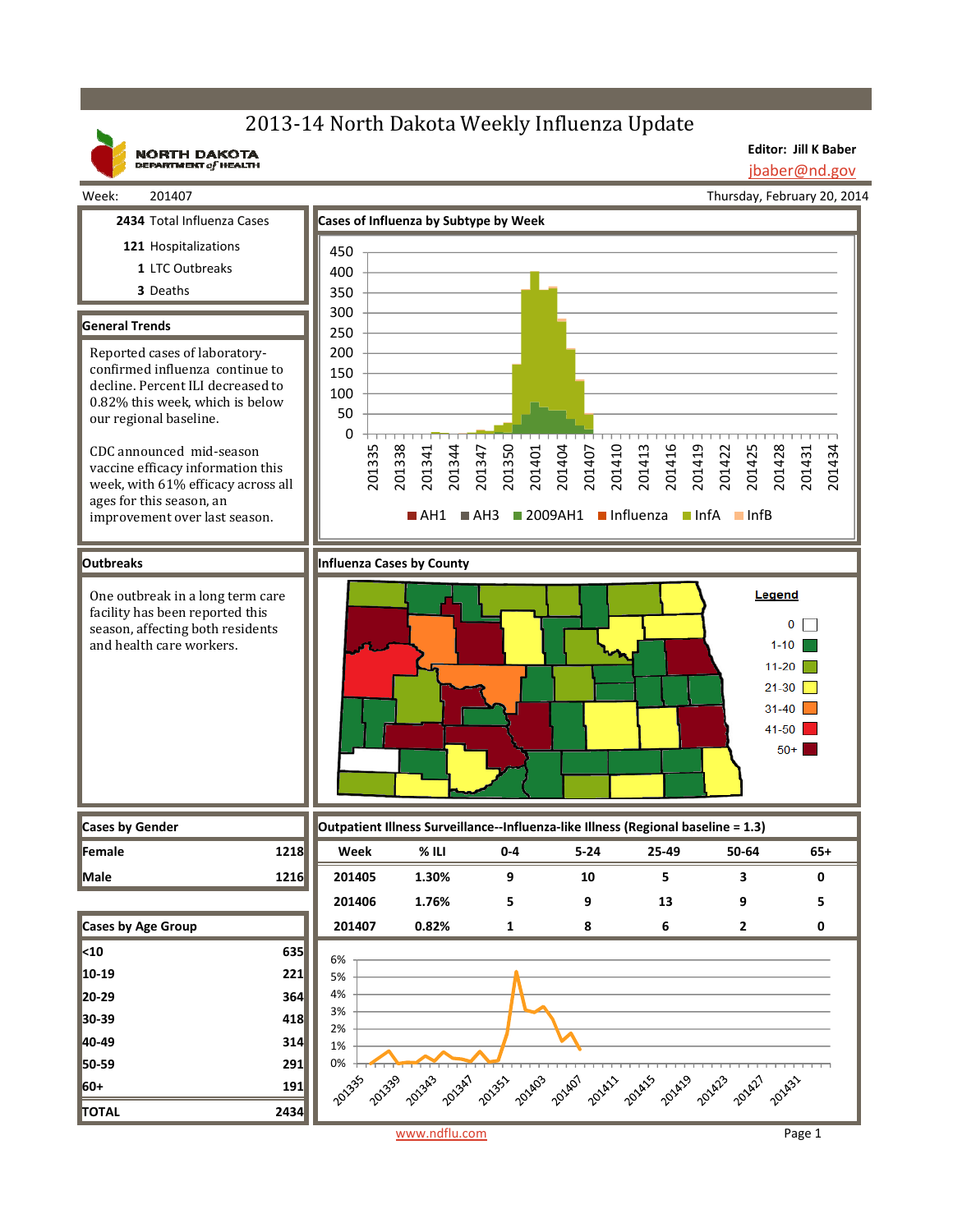# 2013-14 North Dakota Weekly Influenza Update

**NORTH DAKOTA**<br>DEPARTMENT of HEALTH

**Editor: Jill K Baber** jbaber@nd.gov

Thursday, February 20, 2014